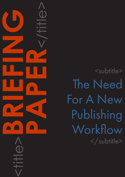<subtitle> The Need For A New Publishing Workflow </subtitle>

<title>**BRIEFING**

**PAPER**<br>CONSTRAINS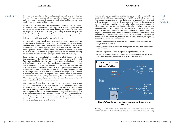| <b>Intermediate</b><br>electronic formats<br>EF1<br>EF <sub>2</sub><br>EF3 |                                                                        | <b>PDF</b><br><b>HTML</b> |
|----------------------------------------------------------------------------|------------------------------------------------------------------------|---------------------------|
|                                                                            | Postscript<br>PDF<br><b>HTML</b><br><b>DAISY</b><br><b>XML</b> braille |                           |

### CAPDM Ltd. CAPDM Ltd.

Introduction If you have started out along the path of developing an online, CPD or distance learning (DL) programme, you will have put a lot of thought into how you are going to source the content. One route is to look to the Publishers, as they have ready developed content of high quality.

> However most DL programmes are developed in a way that offers the students materials in a range of formats – including print, PDF for the laptops and, of course, HTML for the institutional virtual learning environment or VLE. Any development will also include a variety of learning materials, not just core texts. These have to be backed up with formative assessments, cases and other support materials. The publishers realise this and this is precisely why popular texts now have fairly extensive 'companion' web sites.

> A number of problems though, are encountered by teams progressing down this programme development route. First, the Publishers usually want you to use **their** systems, so you may be required to have students log into an external environment. This is annoying given that all institutions now have their own – often expensive – learning environments. The Publishers' response is to make many publications available as plug-in cartridges for the popular learning environments, but there is still a high degree of development inflexibility.

> There are other more serious irritations, though. Many institutions would want to buy the **content** of the Publisher's text but not be solely restricted to the printed form. They would also, in some cases, like to use the text (and its companion web site) material as the base of their own learning materials that support their on-line distance programme. The Publisher's content would be used interlinked with the institution's own branded content, e.g. study guides or past papers. This has typically not been possible. The big Publishers now have custom publishing teams that go some way towards this, but custom publishing tends to be limited to chapter level manipulation of the printed texts – and it is obvious where one or more texts have been 'glued' together, reflecting their different printed formats. One major Publisher actually told us that they we almost ashamed of the final quality they offered, and it was easy to see why.

> Going one step further down the customisation route is 'adaptation', where the programme designer could reuse the materials at the fragment level. Most Publishers firmly rule this out along with any other options involving a more detailed re-working of the materials. The objections are largely based on legal and cost grounds, where it is infeasible to look to original authors to approve every adaptation made to their materials. If you require this degree of flexibility in working with the subject materials for your programme, then you have probably reached the point where it is worthwhile investing in the creation and maintenance of your own materials assets.

Single Source Publishing

The cost of a custom published solution can be quite high for an institution, particularly if additional electronic forms (PDF, EPUB and HTML) are included. This reveals the underlying problem that makes this approach expensive and with varying quality of output. Quite simply most Publishers do not currently embrace single source publishing. A typical workflow starts with the production of the printed text, then prepares the content for other published forms. Regular readers of the CAPDM briefing papers will recognise that it is essential to start with a master source format that enables a **range** of output formats to be targeted. Today that single source has to the international extensible markup standard XML, with suitable structure (from a DTD or Schema). Putting XML up front results in a quite different, but much more flexible workflow (see Figure 1), but one that offers many other benefits:

- •quality and consistency is preserved over different formats as there is but a single source of content;
- reuse, maintenance and revision management are simplified for the very same reason;
- the cost of production for a multiple format publication is lower;
- it can, and should, result in a unified feel to all of the content, which can also be institutionally branded to fit with other materials used.



Figure 1: Workflows – traditional publisher vs. Single master sourcing

So why don't all Publishers embrace this XML-based workflow? There is one underlying reason – they are still very much text book oriented. This is a sweeping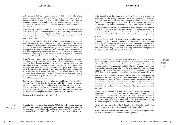XML **Workflows** 

### CAPDM Ltd. CAPDM Ltd.

statement, particularly as we acknowledge above that many publications have good companion websites. However the book is very much the primary target because this is what is sold. This is not strictly what developers of distance programmes want, though, and they need to ensure that their students have the materials and contexts they need in whatever format they need it in and when they need it.

If the learning content is part of a managed domain of information then the interactive, hyperlinked renderings can also be produced along with the support materials (formative assessments, etc) in a wholly integrated fashion. This can, and should, result in a seamless set of materials with rich functionality and a high degree of usability.

So what are the Publishers doing? Publishers are slowly embracing XML and standards and this, we would suggest, is a good thing. However they do operate in a very competitive business area so most still follow the route of developing in-house solutions which put proprietary rings around standardised content. For example they will have their own document type definitions or schemas to suit their specific processing expectations and needs. This misses one of the key benefits of embracing standards, namely that tools and production becomes cheaper and better when everyone is driving them forward.

Is an XML workflow the answer to everything? While there are big advantages in adapting the workflow to start with XML, it has to be admitted that there are some things that are very hard to achieve in a pure XML workflow. For example it is difficult to typeset a highly customised, almost individually laid out page publication, i.e. difficult to emulate what typical desktop publishing or "DTP" packages do. There is a way round these problems, though, and many Publishers either currently compromise, or will compromise, a pure XML workflow for an 'almost-there' workflow. This will allow them to use a system that either does final output touch-ups in a DTP package, or exports XML from their DTP packages after print release.

The down side is that this creates one of the very problems that XML workflows tend to solve, namely that single source publishing cannot be applied. Moving to one of the scenarios above, e.g. doing final touch-ups in a DTP, creates a separate master source. This solution does not allow the Publisher to then call this the master 'golden' – it will always be reliant on the tool-chain and the extra hand-crafted processes that this chain will have established.

Here in Scotland, the *The Books for All* report to the Scottish Executive Education Department (ISBN 978 0 7559 1535 4) highlighted the need for many accessible formats for books in our schools in order to ensure that no one is obviously disadvantaged. This was actually an opportunity to take the lead in the use of technology to provide better materials for all our children, including the disadvantaged, the culturally different, and the majority.

The solution is to move to a pure batch model.

In addition to the obvious cost benefits of an XML-first workflow, no compromises of the 'golden' master approach are possible because output never goes into an application in which hand-editing of layout is possible. This, by contrast, is the norm with DTP packages. All final outputs and any convenient 'fixes' have

Why are these initiatives relevant here? They represent a vision for improvements to the economies of Europe and to education in general.

to be done either via the semantics of the underlying mark-up or through the processing instructions that the batch output generators interpret. The implication is that all outputs are reproducible time and again, and that the master becomes 'golden' – it can guarantee to produce exactly the same output with the same content every time, and to render from the same content base to all formats.

Such batch-driven typesetting tools are deterministic. The alternative is to use DTP-derived and word processor-derived tools – including batch process versions – that all have a randomised element. This means that the same content may produce different layout on a different day or on from different typesetting engine.

End-to-end XML-based batch production, as described above, ensures that the investment made in information and content is never wasted. Publishers are embracing the concept, but not fully. Our advice is not to go half way. It is worth putting in the extra effort to create, manage and exploit your information and content. In this way you can be sure of hitting the release button again in 6 months, or 6 years, and getting the desired output.

The EU's Seventh Framework Programme cited that Information & Communication Technologies (ICT) are critical to the competitiveness of European industry. One plank of their ICT strategy is Digital Content & Learning, and they provided research funding for the development of digital libraries to support the creation, interpretation, use and preservation of cultural and scientific resources. These resources will, in turn, "revolutionise learning through adaptive and intuitive ICTs". Standards for information were to feature heavily at the heart of this work.

The UK's Joint Information Systems Committee (JISC) has been sponsoring programmes to develop Higher Education repositories and a digital content infrastructure. The aim is to develop Information Environments to support digital repositories and preservation of information, and functionality such as crosssearching facilities across repositories. The vision is to establish a network of digital resources and services, in order to significantly improve content use and curation.

We can also help the teachers. How? That will be the subject of a future Briefing Paper but needless to say the starting point is with the workflow.

What are others doing?